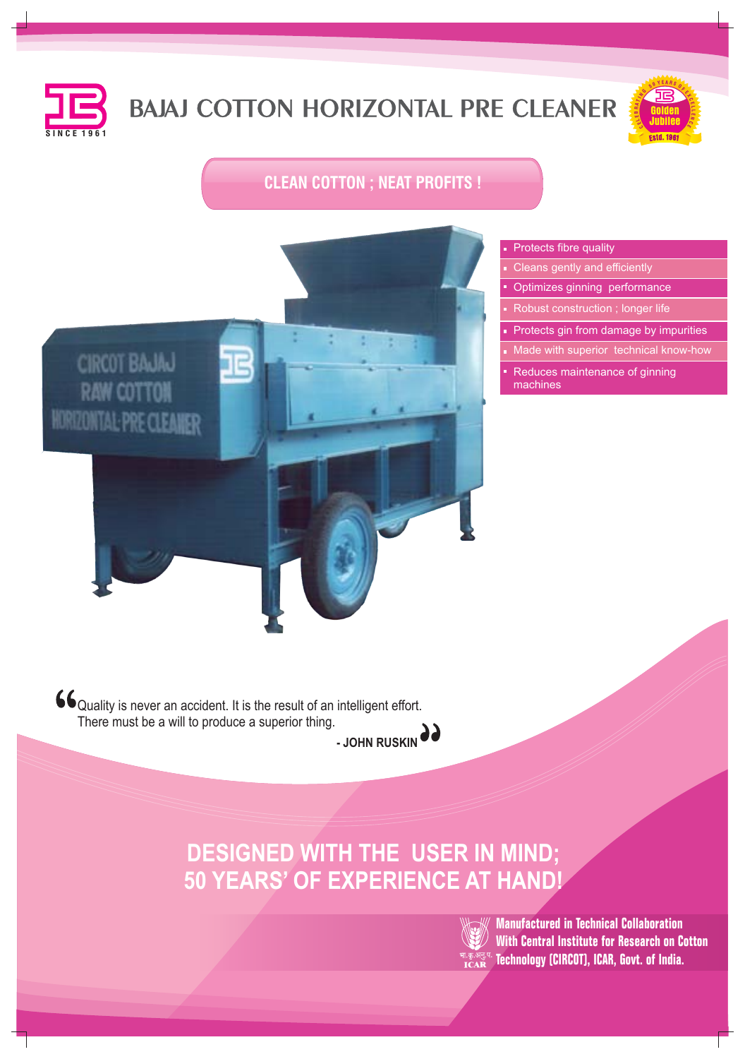

# **BAJAJ COTTON HORIZONTAL PRE CLEANER**



## **CLEAN COTTON ; NEAT PROFITS !**



#### **Protects fibre quality**

- Cleans gently and efficiently
- **Optimizes ginning performance**
- Robust construction ; longer life
- **Protects gin from damage by impurities**
- Made with superior technical know-how
- Reduces maintenance of ginning machines

66 Quality is never an accident. It is the result of an intelligent effort. There must be a will to produce a superior thing.



**DESIGNED WITH THE USER IN MIND; 50 YEARS' OF EXPERIENCE AT HAND!**



**Manufactured in Technical Collaboration With Central Institute for Research on Cotton Technology (CIRCOT), ICAR, Govt. of India.**